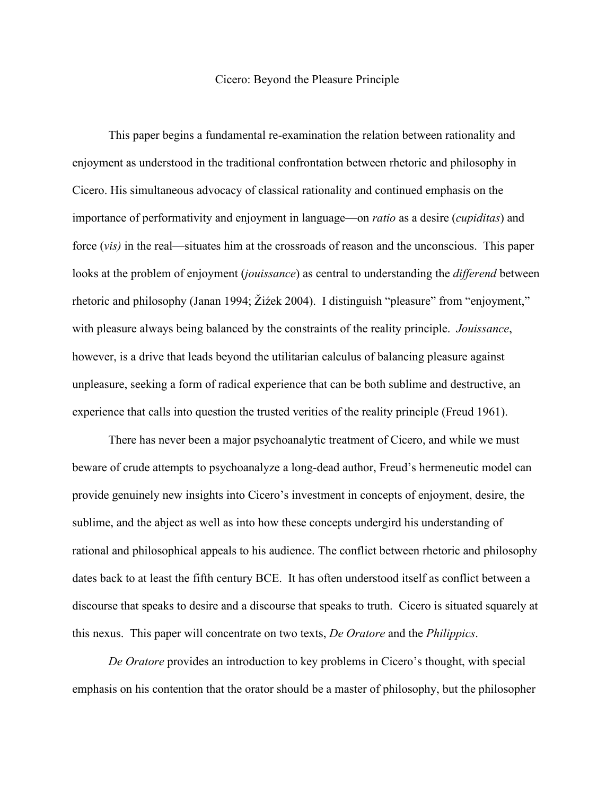## Cicero: Beyond the Pleasure Principle

This paper begins a fundamental re-examination the relation between rationality and enjoyment as understood in the traditional confrontation between rhetoric and philosophy in Cicero. His simultaneous advocacy of classical rationality and continued emphasis on the importance of performativity and enjoyment in language—on *ratio* as a desire (*cupiditas*) and force (*vis)* in the real—situates him at the crossroads of reason and the unconscious. This paper looks at the problem of enjoyment (*jouissance*) as central to understanding the *differend* between rhetoric and philosophy (Janan 1994; Žiźek 2004). I distinguish "pleasure" from "enjoyment," with pleasure always being balanced by the constraints of the reality principle. *Jouissance*, however, is a drive that leads beyond the utilitarian calculus of balancing pleasure against unpleasure, seeking a form of radical experience that can be both sublime and destructive, an experience that calls into question the trusted verities of the reality principle (Freud 1961).

There has never been a major psychoanalytic treatment of Cicero, and while we must beware of crude attempts to psychoanalyze a long-dead author, Freud's hermeneutic model can provide genuinely new insights into Cicero's investment in concepts of enjoyment, desire, the sublime, and the abject as well as into how these concepts undergird his understanding of rational and philosophical appeals to his audience. The conflict between rhetoric and philosophy dates back to at least the fifth century BCE. It has often understood itself as conflict between a discourse that speaks to desire and a discourse that speaks to truth. Cicero is situated squarely at this nexus. This paper will concentrate on two texts, *De Oratore* and the *Philippics*.

*De Oratore* provides an introduction to key problems in Cicero's thought, with special emphasis on his contention that the orator should be a master of philosophy, but the philosopher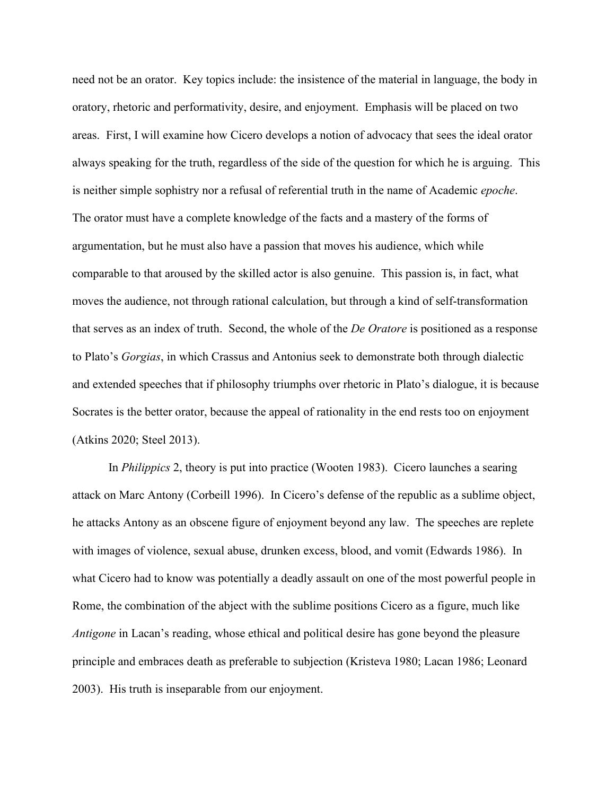need not be an orator. Key topics include: the insistence of the material in language, the body in oratory, rhetoric and performativity, desire, and enjoyment. Emphasis will be placed on two areas. First, I will examine how Cicero develops a notion of advocacy that sees the ideal orator always speaking for the truth, regardless of the side of the question for which he is arguing. This is neither simple sophistry nor a refusal of referential truth in the name of Academic *epoche*. The orator must have a complete knowledge of the facts and a mastery of the forms of argumentation, but he must also have a passion that moves his audience, which while comparable to that aroused by the skilled actor is also genuine. This passion is, in fact, what moves the audience, not through rational calculation, but through a kind of self-transformation that serves as an index of truth. Second, the whole of the *De Oratore* is positioned as a response to Plato's *Gorgias*, in which Crassus and Antonius seek to demonstrate both through dialectic and extended speeches that if philosophy triumphs over rhetoric in Plato's dialogue, it is because Socrates is the better orator, because the appeal of rationality in the end rests too on enjoyment (Atkins 2020; Steel 2013).

In *Philippics* 2, theory is put into practice (Wooten 1983). Cicero launches a searing attack on Marc Antony (Corbeill 1996). In Cicero's defense of the republic as a sublime object, he attacks Antony as an obscene figure of enjoyment beyond any law. The speeches are replete with images of violence, sexual abuse, drunken excess, blood, and vomit (Edwards 1986). In what Cicero had to know was potentially a deadly assault on one of the most powerful people in Rome, the combination of the abject with the sublime positions Cicero as a figure, much like *Antigone* in Lacan's reading, whose ethical and political desire has gone beyond the pleasure principle and embraces death as preferable to subjection (Kristeva 1980; Lacan 1986; Leonard 2003). His truth is inseparable from our enjoyment.